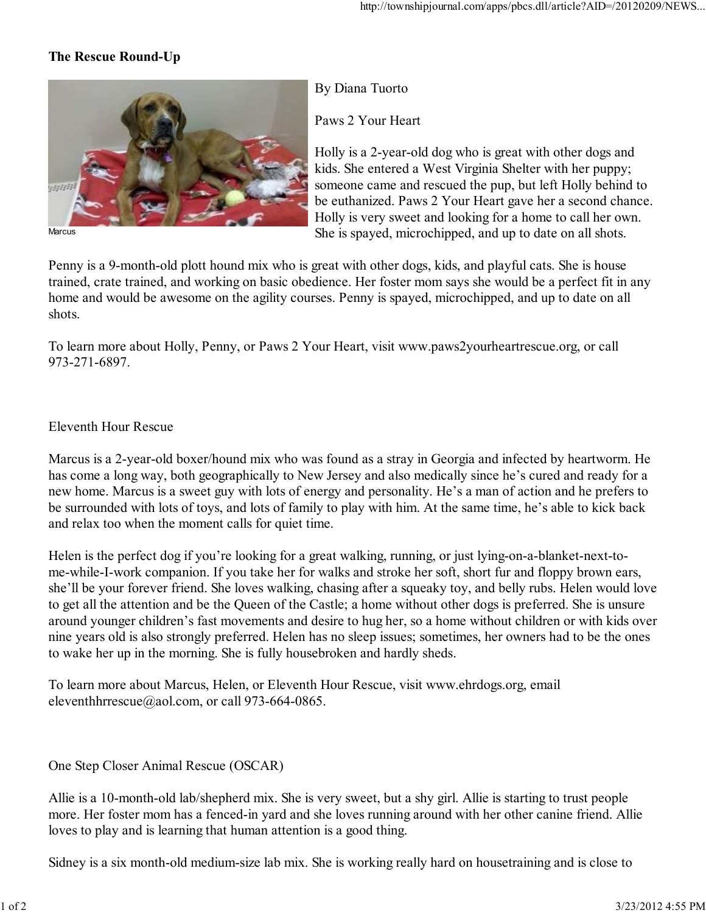## **The Rescue Round-Up**



By Diana Tuorto

Paws 2 Your Heart

Holly is a 2-year-old dog who is great with other dogs and kids. She entered a West Virginia Shelter with her puppy; someone came and rescued the pup, but left Holly behind to be euthanized. Paws 2 Your Heart gave her a second chance. Holly is very sweet and looking for a home to call her own. She is spayed, microchipped, and up to date on all shots.

Penny is a 9-month-old plott hound mix who is great with other dogs, kids, and playful cats. She is house trained, crate trained, and working on basic obedience. Her foster mom says she would be a perfect fit in any home and would be awesome on the agility courses. Penny is spayed, microchipped, and up to date on all shots.

To learn more about Holly, Penny, or Paws 2 Your Heart, visit www.paws2yourheartrescue.org, or call 973-271-6897.

## Eleventh Hour Rescue

Marcus is a 2-year-old boxer/hound mix who was found as a stray in Georgia and infected by heartworm. He has come a long way, both geographically to New Jersey and also medically since he's cured and ready for a new home. Marcus is a sweet guy with lots of energy and personality. He's a man of action and he prefers to be surrounded with lots of toys, and lots of family to play with him. At the same time, he's able to kick back and relax too when the moment calls for quiet time.

Helen is the perfect dog if you're looking for a great walking, running, or just lying-on-a-blanket-next-tome-while-I-work companion. If you take her for walks and stroke her soft, short fur and floppy brown ears, she'll be your forever friend. She loves walking, chasing after a squeaky toy, and belly rubs. Helen would love to get all the attention and be the Queen of the Castle; a home without other dogs is preferred. She is unsure around younger children's fast movements and desire to hug her, so a home without children or with kids over nine years old is also strongly preferred. Helen has no sleep issues; sometimes, her owners had to be the ones to wake her up in the morning. She is fully housebroken and hardly sheds.

To learn more about Marcus, Helen, or Eleventh Hour Rescue, visit www.ehrdogs.org, email eleventhhrrescue@aol.com, or call 973-664-0865.

One Step Closer Animal Rescue (OSCAR)

Allie is a 10-month-old lab/shepherd mix. She is very sweet, but a shy girl. Allie is starting to trust people more. Her foster mom has a fenced-in yard and she loves running around with her other canine friend. Allie loves to play and is learning that human attention is a good thing.

Sidney is a six month-old medium-size lab mix. She is working really hard on housetraining and is close to